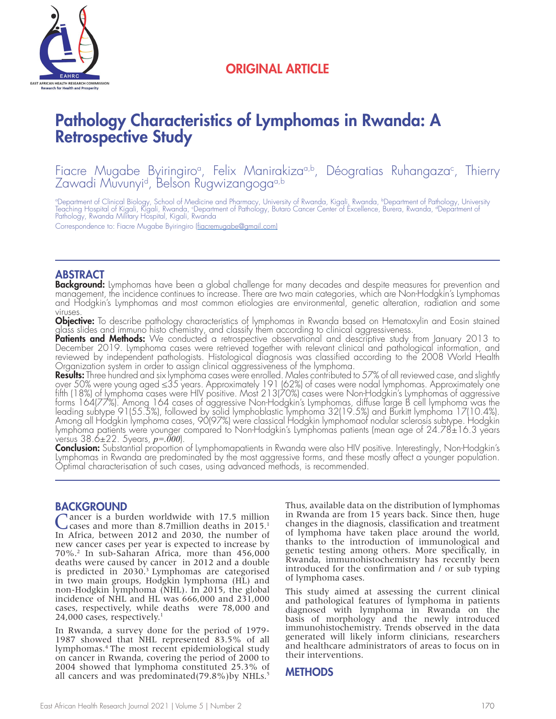

## ORIGINAL ARTICLE

# Pathology Characteristics of Lymphomas in Rwanda: A Retrospective Study

Fiacre Mugabe Byiringiroª, Felix Manirakizaª,b, Déogratias Ruhangaza<sup>c</sup>, Thierry Zawadi Muvunyi<sup>d</sup>, Belson Rugwizangoga<sup>a,b</sup>

°Department of Clinical Biology, School of Medicine and Pharmacy, University of Rwanda, Kigali, Rwanda, ʰDepartment of Pathology, University<br>Teaching Hospital of Kigali, Kigali, Rwanda, ʿDepartment of Pathology, Butaro Can Pathology, Rwanda Military Hospital, Kigali, Rwanda

Correspondence to: Fiacre Mugabe Byiringiro (fiacremugabe@gmail.com)

#### ABSTRACT

Background: Lymphomas have been a global challenge for many decades and despite measures for prevention and management, the incidence continues to increase. There are two main categories, which are Non-Hodgkin's Lymphomas and Hodgkin's Lymphomas and most common etiologies are environmental, genetic alteration, radiation and some viruses.

**Objective:** To describe pathology characteristics of lymphomas in Rwanda based on Hematoxylin and Eosin stained glass slides and immuno histo chemistry, and classify them according to clinical aggressiveness.

**Patients and Methods:** We conducted a retrospective observational and descriptive study from January 2013 to December 2019. Lymphoma cases were retrieved together with relevant clinical and pathological information, and reviewed by independent pathologists. Histological diagnosis was classified according to the 2008 World Health Organization system in order to assign clinical aggressiveness of the lymphoma.

**Results:** Three hundred and six lymphoma cases were enrolled. Males contributed to 57% of all reviewed case, and slightly over 50% were young aged ≤35 years. Approximately 191 (62%) of cases were nodal lymphomas. Approximately one fifth (18%) of lymphoma cases were HIV positive. Most 213(70%) cases were Non-Hodgkin's Lymphomas of aggressive forms 164(77%). Among 164 cases of aggressive Non-Hodgkin's Lymphomas, diffuse large B cell lymphoma was the leading subtype 91(55.5%), followed by solid lymphoblastic lymphoma 32(19.5%) and Burkitt lymphoma 17(10.4%). Among all Hodgkin lymphoma cases, 90(97%) were classical Hodgkin lymphomaof nodular sclerosis subtype. Hodgkin lymphoma patients were younger compared to Non-Hodgkin's Lymphomas patients (mean age of 24.78±16.3 years versus 38.6±22. 5years, *p=.000*).

Conclusion: Substantial proportion of Lymphomapatients in Rwanda were also HIV positive. Interestingly, Non-Hodgkin's Lymphomas in Rwanda are predominated by the most aggressive forms, and these mostly affect a younger population. Optimal characterisation of such cases, using advanced methods, is recommended.

#### BACKGROUND

Cancer is a burden worldwide with 17.5 million cases and more than 8.7million deaths in 2015.<sup>1</sup> In Africa, between 2012 and 2030, the number of new cancer cases per year is expected to increase by 70%.2 In sub-Saharan Africa, more than 456,000 deaths were caused by cancer in 2012 and a double is predicted in 2030.<sup>3</sup> Lymphomas are categorised in two main groups, Hodgkin lymphoma (HL) and non-Hodgkin lymphoma (NHL). In 2015, the global incidence of NHL and HL was 666,000 and 231,000 cases, respectively, while deaths were 78,000 and 24,000 cases, respectively.<sup>1</sup>

In Rwanda, a survey done for the period of 1979- 1987 showed that NHL represented 83.5% of all lymphomas.4 The most recent epidemiological study on cancer in Rwanda, covering the period of 2000 to 2004 showed that lymphoma constituted 25.3% of all cancers and was predominated(79.8%)by NHLs.<sup>5</sup>

Thus, available data on the distribution of lymphomas in Rwanda are from 15 years back. Since then, huge changes in the diagnosis, classification and treatment of lymphoma have taken place around the world, thanks to the introduction of immunological and genetic testing among others. More specifically, in Rwanda, immunohistochemistry has recently been introduced for the confirmation and / or sub typing of lymphoma cases.

This study aimed at assessing the current clinical and pathological features of lymphoma in patients diagnosed with lymphoma in Rwanda on the basis of morphology and the newly introduced immunohistochemistry. Trends observed in the data generated will likely inform clinicians, researchers and healthcare administrators of areas to focus on in their interventions.

## **METHODS**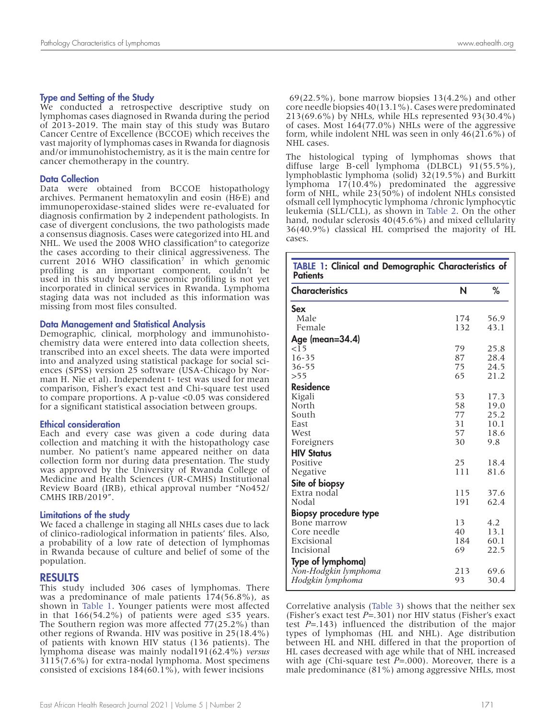#### Type and Setting of the Study

We conducted a retrospective descriptive study on lymphomas cases diagnosed in Rwanda during the period of 2013-2019. The main stay of this study was Butaro Cancer Centre of Excellence (BCCOE) which receives the vast majority of lymphomas cases in Rwanda for diagnosis and/or immunohistochemistry, as it is the main centre for cancer chemotherapy in the country.

#### Data Collection

Data were obtained from BCCOE histopathology archives. Permanent hematoxylin and eosin (H&E) and immunoperoxidase-stained slides were re-evaluated for diagnosis confirmation by 2 independent pathologists. In case of divergent conclusions, the two pathologists made a consensus diagnosis. Cases were categorized into HL and NHL. We used the 2008 WHO classification<sup>6</sup> to categorize the cases according to their clinical aggressiveness. The current 2016 WHO classification<sup>7</sup> in which genomic profiling is an important component, couldn't be used in this study because genomic profiling is not yet incorporated in clinical services in Rwanda. Lymphoma staging data was not included as this information was missing from most files consulted.

#### Data Management and Statistical Analysis

Demographic, clinical, morphology and immunohisto- chemistry data were entered into data collection sheets, transcribed into an excel sheets. The data were imported into and analyzed using statistical package for social sciences (SPSS) version 25 software (USA-Chicago by Norman H. Nie et al). Independent t- test was used for mean comparison, Fisher's exact test and Chi-square test used to compare proportions. A p-value <0.05 was considered for a significant statistical association between groups.

#### Ethical consideration

Each and every case was given a code during data collection and matching it with the histopathology case number. No patient's name appeared neither on data collection form nor during data presentation. The study was approved by the University of Rwanda College of Medicine and Health Sciences (UR-CMHS) Institutional Review Board (IRB), ethical approval number "No452/ CMHS IRB/2019".

#### Limitations of the study

We faced a challenge in staging all NHLs cases due to lack of clinico-radiological information in patients' files. Also, a probability of a low rate of detection of lymphomas in Rwanda because of culture and belief of some of the population.

#### RESULTS

This study included 306 cases of lymphomas. There was a predominance of male patients 174(56.8%), as shown in Table 1. Younger patients were most affected in that 166(54.2%) of patients were aged ≤35 years. The Southern region was more affected 77(25.2%) than other regions of Rwanda. HIV was positive in 25(18.4%) of patients with known HIV status (136 patients). The lymphoma disease was mainly nodal191(62.4%) *versus*  3115(7.6%) for extra-nodal lymphoma. Most specimens consisted of excisions 184(60.1%), with fewer incisions

 69(22.5%), bone marrow biopsies 13(4.2%) and other core needle biopsies 40(13.1%). Cases were predominated 213(69.6%) by NHLs, while HLs represented 93(30.4%) of cases. Most 164(77.0%) NHLs were of the aggressive form, while indolent NHL was seen in only 46(21.6%) of NHL cases.

The histological typing of lymphomas shows that diffuse large B-cell lymphoma (DLBCL) 91(55.5%), lymphoblastic lymphoma (solid) 32(19.5%) and Burkitt lymphoma  $17(10.4\%)$  predominated the aggressive form of NHL, while 23(50%) of indolent NHLs consisted ofsmall cell lymphocytic lymphoma /chronic lymphocytic leukemia (SLL/CLL), as shown in Table 2. On the other hand, nodular sclerosis 40(45.6%) and mixed cellularity 36(40.9%) classical HL comprised the majority of HL cases.

| TABLE 1: Clinical and Demographic Characteristics of<br><b>Patients</b> |     |      |  |
|-------------------------------------------------------------------------|-----|------|--|
| <b>Characteristics</b>                                                  | N   | ℅    |  |
| Sex                                                                     |     |      |  |
| Male                                                                    | 174 | 56.9 |  |
| Female                                                                  | 132 | 43.1 |  |
| Age (mean=34.4)                                                         |     |      |  |
| $\leq$ 15                                                               | 79  | 25.8 |  |
| $16 - 35$                                                               | 87  | 28.4 |  |
| $36 - 55$                                                               | 75  | 24.5 |  |
| >55                                                                     | 65  | 21.2 |  |
| <b>Residence</b>                                                        |     |      |  |
| Kigali                                                                  | 53  | 17.3 |  |
| North                                                                   | 58  | 19.0 |  |
| South                                                                   | 77  | 25.2 |  |
| East                                                                    | 31  | 10.1 |  |
| West                                                                    | 57  | 18.6 |  |
| Foreigners                                                              | 30  | 9.8  |  |
| <b>HIV Status</b>                                                       |     |      |  |
| Positive                                                                | 25  | 18.4 |  |
| Negative                                                                | 111 | 81.6 |  |
| Site of biopsy                                                          |     |      |  |
| Extra nodal                                                             | 115 | 37.6 |  |
| Nodal                                                                   | 191 | 62.4 |  |
| <b>Biopsy procedure type</b>                                            |     |      |  |
| Bone marrow                                                             | 13  | 4.2  |  |
| Core needle                                                             | 40  | 13.1 |  |
| Excisional                                                              | 184 | 60.1 |  |
| Incisional                                                              | 69  | 22.5 |  |
| Type of lymphoma)                                                       |     |      |  |
| Non-Hodgkin lymphoma                                                    | 213 | 69.6 |  |
| Hodgkin lymphoma                                                        | 93  | 30.4 |  |

Correlative analysis (Table 3) shows that the neither sex (Fisher's exact test *P*=.301) nor HIV status (Fisher's exact test *P*=.143) influenced the distribution of the major types of lymphomas (HL and NHL). Age distribution between HL and NHL differed in that the proportion of HL cases decreased with age while that of NHL increased with age (Chi-square test *P*=.000). Moreover, there is a male predominance (81%) among aggressive NHLs, most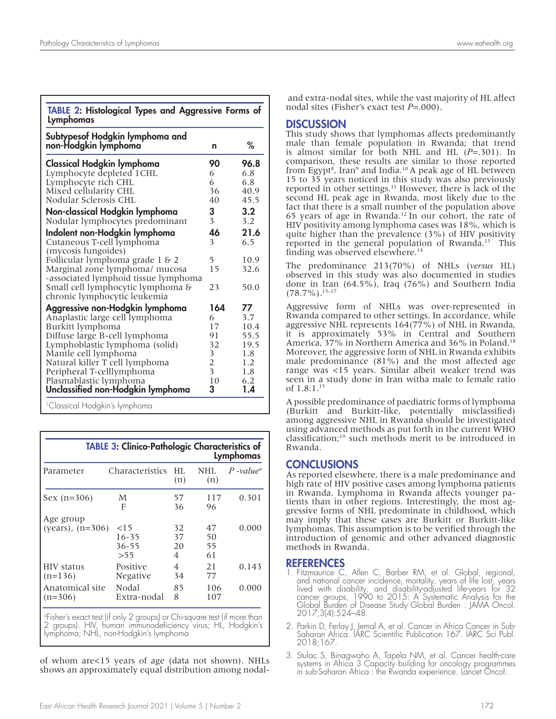TABLE 2: Histological Types and Aggressive Forms of Lymphomas

| Subtypesof Hodgkin lymphoma and      |                                            |      |
|--------------------------------------|--------------------------------------------|------|
| non-Hodgkin lymphoma                 | n                                          | ℅    |
| <b>Classical Hodgkin lymphoma</b>    | 90                                         | 96.8 |
| Lymphocyte depleted 1CHL             | 6                                          | 6.8  |
| Lymphocyte rich CHL                  | 6                                          | 6.8  |
| Mixed cellularity CHL                | 36                                         | 40.9 |
| Nodular Sclerosis CHL                | 40                                         | 45.5 |
| Non-classical Hodgkin lymphoma       | 3                                          | 3.2  |
| Nodular lymphocytes predominant      | $\overline{\mathbf{3}}$                    | 3.2  |
| Indolent non-Hodgkin lymphoma        | 46                                         | 21.6 |
| Cutaneous T-cell lymphoma            | 3                                          | 6.5  |
| (mycosis fungoides)                  |                                            |      |
| Follicular lymphoma grade 1 & 2      | 5                                          | 10.9 |
| Marginal zone lymphoma/ mucosa       | 15                                         | 32.6 |
| -associated lymphoid tissue lymphoma |                                            |      |
| Small cell lymphocytic lymphoma &    | 23                                         | 50.0 |
| chronic lymphocytic leukemia         |                                            |      |
| Aggressive non-Hodgkin lymphoma      | 164                                        | 77   |
| Anaplastic large cell lymphoma       | 6                                          | 3.7  |
| Burkitt lymphoma                     | 17                                         | 10.4 |
| Diffuse large B-cell lymphoma        | 91                                         | 55.5 |
| Lymphoblastic lymphoma (solid)       | 32                                         | 19.5 |
| Mantle cell lymphoma                 | $\begin{array}{c} 3 \\ 2 \\ 3 \end{array}$ | 1.8  |
| Natural killer T cell lymphoma       |                                            | 1.2  |
| Peripheral T-celllymphoma            |                                            | 1.8  |
| Plasmablastic lymphoma               | 10                                         | 6.2  |
| Unclassified non-Hodgkin lymphoma    | 3                                          | 1.4  |
|                                      |                                            |      |

1Classical Hodgkin's lymphoma

| <b>TABLE 3: Clinico-Pathologic Characteristics of</b><br>Lymphomas |                                     |                     |                      |                         |  |
|--------------------------------------------------------------------|-------------------------------------|---------------------|----------------------|-------------------------|--|
| Parameter                                                          | Characteristics                     | HL.<br>(n)          | NHL.<br>(n)          | $P$ -value <sup>a</sup> |  |
| $Sex (n=306)$                                                      | M<br>F                              | 57<br>36            | 117<br>96            | 0.301                   |  |
| Age group<br>(years), $(n=306)$                                    | $<$ 15<br>$16 - 35$<br>36-55<br>>55 | 32<br>37<br>20<br>4 | 47<br>50<br>55<br>61 | 0.000                   |  |
| HIV status<br>$(n=136)$                                            | Positive<br>Negative                | 4<br>34             | 21<br>77             | 0.143                   |  |
| Anatomical site<br>$(n=306)$                                       | Nodal<br>Extra-nodal                | 85<br>8             | 106<br>107           | 0.000                   |  |

a Fisher's exact test (if only 2 groups) or Chi-square test (if more than 2 groups). HIV, human immunodeficiency virus; HL, Hodgkin's lymphoma; NHL, non-Hodgkin's lymphoma

of whom are<15 years of age (data not shown). NHLs shows an approximately equal distribution among nodal-

 and extra-nodal sites, while the vast majority of HL affect nodal sites (Fisher's exact test *P*=.000).

## **DISCUSSION**

This study shows that lymphomas affects predominantly male than female population in Rwanda; that trend is almost similar for both NHL and HL (*P*=.301). In comparison, these results are similar to those reported from Egypt<sup>8</sup>, Iran<sup>9</sup> and India.<sup>10</sup> A peak age of HL between 15 to 35 years noticed in this study was also previously reported in other settings.11 However, there is lack of the second HL peak age in Rwanda, most likely due to the fact that there is a small number of the population above 65 years of age in Rwanda.<sup>12</sup> In our cohort, the rate of HIV positivity among lymphoma cases was 18%, which is quite higher than the prevalence (3%) of HIV positivity reported in the general population of Rwanda.<sup>13</sup> This finding was observed elsewhere.14

The predominance 213(70%) of NHLs (*versus* HL) observed in this study was also documented in studies done in Iran (64.5%), Iraq (76%) and Southern India  $(78.7\%)$ .<sup>15–17</sup>

Aggressive form of NHLs was over-represented in Rwanda compared to other settings. In accordance, while aggressive NHL represents 164(77%) of NHL in Rwanda, it is approximately 53% in Central and Southern America, 37% in Northern America and 36% in Poland.<sup>18</sup> Moreover, the aggressive form of NHL in Rwanda exhibits male predominance (81%) and the most affected age range was <15 years. Similar albeit weaker trend was seen in a study done in Iran witha male to female ratio of 1.8:1.15

A possible predominance of paediatric forms of lymphoma (Burkitt and Burkitt-like, potentially misclassified) among aggressive NHL in Rwanda should be investigated using advanced methods as put forth in the current WHO classification;19 such methods merit to be introduced in Rwanda.

## **CONCLUSIONS**

As reported elsewhere, there is a male predominance and high rate of HIV positive cases among lymphoma patients in Rwanda. Lymphoma in Rwanda affects younger patients than in other regions. Interestingly, the most aggressive forms of NHL predominate in childhood, which may imply that these cases are Burkitt or Burkitt-like lymphomas. This assumption is to be verified through the introduction of genomic and other advanced diagnostic methods in Rwanda.

## **REFERENCES**

- 1. Fitzmaurice C, Allen C, Barber RM, et al. Global, regional, and national cancer incidence, mortality, years of life lost, years lived with disability, and disability-adjusted life-years for 32 cancer groups, 1990 to 2015: A Systematic Analysis for the Global Burden of Disease Study Global Burden . JAMA Oncol. 2017;3(4):524–48.
- 2. Parkin D, Ferlay J, Jemal A, et al. Cancer in Africa Cancer in Sub-Saharan Africa. IARC Scientific Publication 167. IARC Sci Publ. 2018;167.
- 3. Stulac S, Binagwaho A, Tapela NM, et al. Cancer health-care systems in Africa 3 Capacity building for oncology programmes in sub-Saharan Africa : the Rwanda experience. Lancet Oncol.